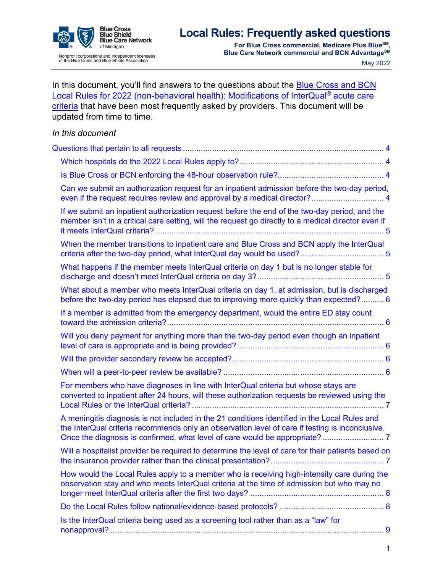

**For Blue Cross commercial, Medicare Plus BlueSM, Blue Care Network commercial and BCN AdvantageSM** May 2022

| In this document, you'll find answers to the questions about the <b>Blue Cross and BCN</b><br>Local Rules for 2022 (non-behavioral health): Modifications of InterQual® acute care                                             |
|--------------------------------------------------------------------------------------------------------------------------------------------------------------------------------------------------------------------------------|
| criteria that have been most frequently asked by providers. This document will be<br>updated from time to time.                                                                                                                |
| In this document                                                                                                                                                                                                               |
|                                                                                                                                                                                                                                |
|                                                                                                                                                                                                                                |
|                                                                                                                                                                                                                                |
| Can we submit an authorization request for an inpatient admission before the two-day period,                                                                                                                                   |
| If we submit an inpatient authorization request before the end of the two-day period, and the<br>member isn't in a critical care setting, will the request go directly to a medical director even if                           |
| When the member transitions to inpatient care and Blue Cross and BCN apply the InterQual                                                                                                                                       |
| What happens if the member meets InterQual criteria on day 1 but is no longer stable for                                                                                                                                       |
| What about a member who meets InterQual criteria on day 1, at admission, but is discharged<br>before the two-day period has elapsed due to improving more quickly than expected? 6                                             |
| If a member is admitted from the emergency department, would the entire ED stay count                                                                                                                                          |
| Will you deny payment for anything more than the two-day period even though an inpatient                                                                                                                                       |
|                                                                                                                                                                                                                                |
|                                                                                                                                                                                                                                |
| For members who have diagnoses in line with InterQual criteria but whose stays are<br>converted to inpatient after 24 hours, will these authorization requests be reviewed using the<br>Local Rules or the InterQual criteria? |
| A meningitis diagnosis is not included in the 21 conditions identified in the Local Rules and<br>the InterQual criteria recommends only an observation level of care if testing is inconclusive.                               |
| Will a hospitalist provider be required to determine the level of care for their patients based on                                                                                                                             |
| How would the Local Rules apply to a member who is receiving high-intensity care during the<br>observation stay and who meets InterQual criteria at the time of admission but who may no                                       |
|                                                                                                                                                                                                                                |
| Is the InterQual criteria being used as a screening tool rather than as a "law" for                                                                                                                                            |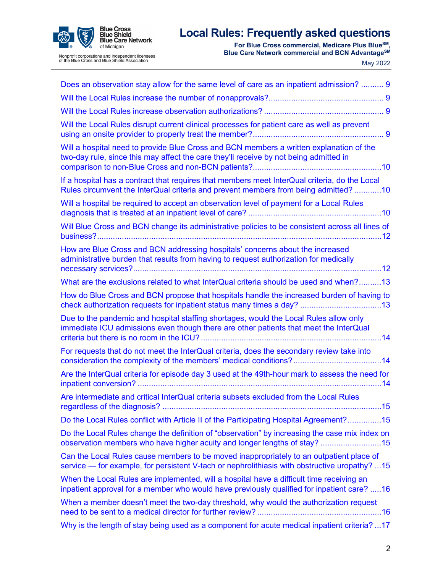

Nonprofit corporations and independent licensees<br>of the Blue Cross and Blue Shield Association

**For Blue Cross commercial, Medicare Plus BlueSM, Blue Care Network commercial and BCN AdvantageSM** May 2022

| Does an observation stay allow for the same level of care as an inpatient admission?  9                                                                                                  |
|------------------------------------------------------------------------------------------------------------------------------------------------------------------------------------------|
|                                                                                                                                                                                          |
|                                                                                                                                                                                          |
| Will the Local Rules disrupt current clinical processes for patient care as well as prevent                                                                                              |
| Will a hospital need to provide Blue Cross and BCN members a written explanation of the<br>two-day rule, since this may affect the care they'll receive by not being admitted in         |
| If a hospital has a contract that requires that members meet InterQual criteria, do the Local<br>Rules circumvent the InterQual criteria and prevent members from being admitted? 10     |
| Will a hospital be required to accept an observation level of payment for a Local Rules                                                                                                  |
| Will Blue Cross and BCN change its administrative policies to be consistent across all lines of                                                                                          |
| How are Blue Cross and BCN addressing hospitals' concerns about the increased<br>administrative burden that results from having to request authorization for medically                   |
| What are the exclusions related to what InterQual criteria should be used and when?13                                                                                                    |
| How do Blue Cross and BCN propose that hospitals handle the increased burden of having to                                                                                                |
| Due to the pandemic and hospital staffing shortages, would the Local Rules allow only<br>immediate ICU admissions even though there are other patients that meet the InterQual           |
| For requests that do not meet the InterQual criteria, does the secondary review take into                                                                                                |
| Are the InterQual criteria for episode day 3 used at the 49th-hour mark to assess the need for                                                                                           |
| Are intermediate and critical InterQual criteria subsets excluded from the Local Rules                                                                                                   |
| Do the Local Rules conflict with Article II of the Participating Hospital Agreement?15                                                                                                   |
| Do the Local Rules change the definition of "observation" by increasing the case mix index on<br>observation members who have higher acuity and longer lengths of stay? 15               |
| Can the Local Rules cause members to be moved inappropriately to an outpatient place of<br>service — for example, for persistent V-tach or nephrolithiasis with obstructive uropathy? 15 |
| When the Local Rules are implemented, will a hospital have a difficult time receiving an<br>inpatient approval for a member who would have previously qualified for inpatient care? 16   |
| When a member doesn't meet the two-day threshold, why would the authorization request                                                                                                    |
| Why is the length of stay being used as a component for acute medical inpatient criteria? 17                                                                                             |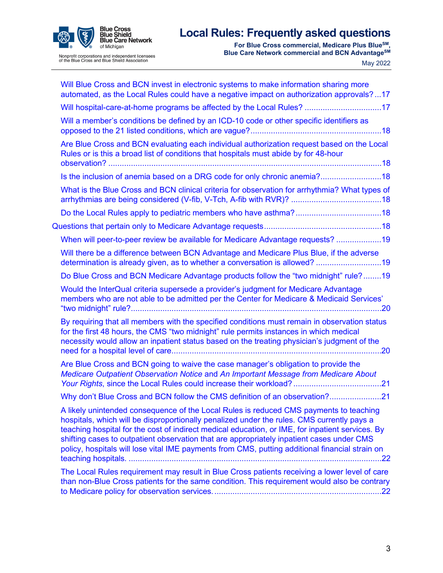

# Nonprofit corporations and independent licensees<br>of the Blue Cross and Blue Shield Association

# **Local Rules: Frequently asked questions**

**For Blue Cross commercial, Medicare Plus BlueSM, Blue Care Network commercial and BCN AdvantageSM** May 2022

| Will Blue Cross and BCN invest in electronic systems to make information sharing more<br>automated, as the Local Rules could have a negative impact on authorization approvals?17                                                                                                                                                                                                                                                                                                        |
|------------------------------------------------------------------------------------------------------------------------------------------------------------------------------------------------------------------------------------------------------------------------------------------------------------------------------------------------------------------------------------------------------------------------------------------------------------------------------------------|
| Will hospital-care-at-home programs be affected by the Local Rules? 17                                                                                                                                                                                                                                                                                                                                                                                                                   |
| Will a member's conditions be defined by an ICD-10 code or other specific identifiers as                                                                                                                                                                                                                                                                                                                                                                                                 |
| Are Blue Cross and BCN evaluating each individual authorization request based on the Local<br>Rules or is this a broad list of conditions that hospitals must abide by for 48-hour                                                                                                                                                                                                                                                                                                       |
| Is the inclusion of anemia based on a DRG code for only chronic anemia?18                                                                                                                                                                                                                                                                                                                                                                                                                |
| What is the Blue Cross and BCN clinical criteria for observation for arrhythmia? What types of                                                                                                                                                                                                                                                                                                                                                                                           |
|                                                                                                                                                                                                                                                                                                                                                                                                                                                                                          |
|                                                                                                                                                                                                                                                                                                                                                                                                                                                                                          |
| When will peer-to-peer review be available for Medicare Advantage requests? 19                                                                                                                                                                                                                                                                                                                                                                                                           |
| Will there be a difference between BCN Advantage and Medicare Plus Blue, if the adverse<br>determination is already given, as to whether a conversation is allowed? 19                                                                                                                                                                                                                                                                                                                   |
| Do Blue Cross and BCN Medicare Advantage products follow the "two midnight" rule?19                                                                                                                                                                                                                                                                                                                                                                                                      |
| Would the InterQual criteria supersede a provider's judgment for Medicare Advantage<br>members who are not able to be admitted per the Center for Medicare & Medicaid Services'                                                                                                                                                                                                                                                                                                          |
| By requiring that all members with the specified conditions must remain in observation status<br>for the first 48 hours, the CMS "two midnight" rule permits instances in which medical<br>necessity would allow an inpatient status based on the treating physician's judgment of the                                                                                                                                                                                                   |
| Are Blue Cross and BCN going to waive the case manager's obligation to provide the<br>Medicare Outpatient Observation Notice and An Important Message from Medicare About                                                                                                                                                                                                                                                                                                                |
| Why don't Blue Cross and BCN follow the CMS definition of an observation?<br>.21                                                                                                                                                                                                                                                                                                                                                                                                         |
| A likely unintended consequence of the Local Rules is reduced CMS payments to teaching<br>hospitals, which will be disproportionally penalized under the rules. CMS currently pays a<br>teaching hospital for the cost of indirect medical education, or IME, for inpatient services. By<br>shifting cases to outpatient observation that are appropriately inpatient cases under CMS<br>policy, hospitals will lose vital IME payments from CMS, putting additional financial strain on |
| The Local Rules requirement may result in Blue Cross patients receiving a lower level of care<br>than non-Blue Cross patients for the same condition. This requirement would also be contrary                                                                                                                                                                                                                                                                                            |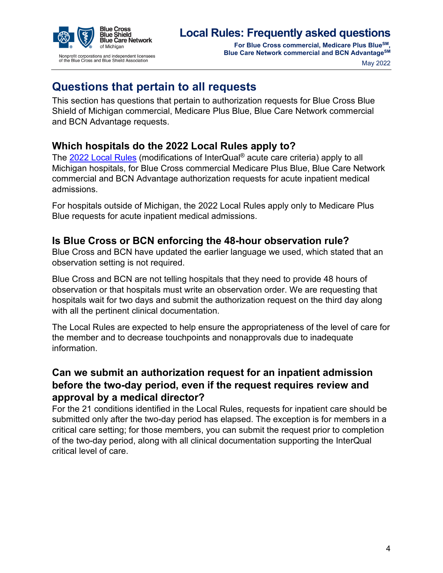

**For Blue Cross commercial, Medicare Plus BlueSM, Blue Care Network commercial and BCN AdvantageSM** 

May 2022

# <span id="page-3-0"></span>**Questions that pertain to all requests**

This section has questions that pertain to authorization requests for Blue Cross Blue Shield of Michigan commercial, Medicare Plus Blue, Blue Care Network commercial and BCN Advantage requests.

# <span id="page-3-1"></span>**Which hospitals do the 2022 Local Rules apply to?**

The [2022 Local Rules](https://ereferrals.bcbsm.com/docs/common/common-2022-interqual-mod.pdf) (modifications of InterQual® acute care criteria) apply to all Michigan hospitals, for Blue Cross commercial Medicare Plus Blue, Blue Care Network commercial and BCN Advantage authorization requests for acute inpatient medical admissions.

For hospitals outside of Michigan, the 2022 Local Rules apply only to Medicare Plus Blue requests for acute inpatient medical admissions.

#### <span id="page-3-2"></span>**Is Blue Cross or BCN enforcing the 48-hour observation rule?**

Blue Cross and BCN have updated the earlier language we used, which stated that an observation setting is not required.

Blue Cross and BCN are not telling hospitals that they need to provide 48 hours of observation or that hospitals must write an observation order. We are requesting that hospitals wait for two days and submit the authorization request on the third day along with all the pertinent clinical documentation.

The Local Rules are expected to help ensure the appropriateness of the level of care for the member and to decrease touchpoints and nonapprovals due to inadequate information.

# <span id="page-3-3"></span>**Can we submit an authorization request for an inpatient admission before the two-day period, even if the request requires review and approval by a medical director?**

For the 21 conditions identified in the Local Rules, requests for inpatient care should be submitted only after the two-day period has elapsed. The exception is for members in a critical care setting; for those members, you can submit the request prior to completion of the two-day period, along with all clinical documentation supporting the InterQual critical level of care.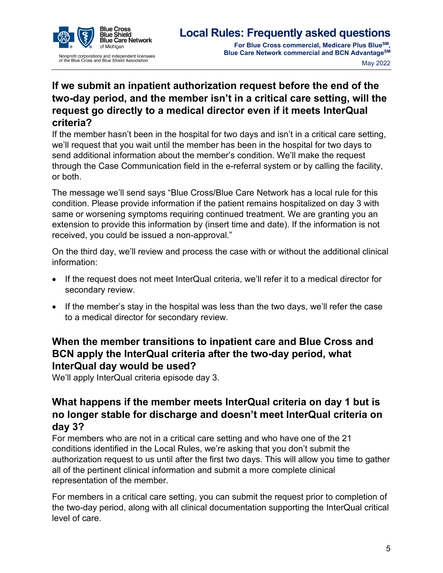

# <span id="page-4-0"></span>**If we submit an inpatient authorization request before the end of the two-day period, and the member isn't in a critical care setting, will the request go directly to a medical director even if it meets InterQual criteria?**

If the member hasn't been in the hospital for two days and isn't in a critical care setting, we'll request that you wait until the member has been in the hospital for two days to send additional information about the member's condition. We'll make the request through the Case Communication field in the e-referral system or by calling the facility, or both.

The message we'll send says "Blue Cross/Blue Care Network has a local rule for this condition. Please provide information if the patient remains hospitalized on day 3 with same or worsening symptoms requiring continued treatment. We are granting you an extension to provide this information by (insert time and date). If the information is not received, you could be issued a non-approval."

On the third day, we'll review and process the case with or without the additional clinical information:

- If the request does not meet InterQual criteria, we'll refer it to a medical director for secondary review.
- If the member's stay in the hospital was less than the two days, we'll refer the case to a medical director for secondary review.

### <span id="page-4-1"></span>**When the member transitions to inpatient care and Blue Cross and BCN apply the InterQual criteria after the two-day period, what InterQual day would be used?**

We'll apply InterQual criteria episode day 3.

#### <span id="page-4-2"></span>**What happens if the member meets InterQual criteria on day 1 but is no longer stable for discharge and doesn't meet InterQual criteria on day 3?**

For members who are not in a critical care setting and who have one of the 21 conditions identified in the Local Rules, we're asking that you don't submit the authorization request to us until after the first two days. This will allow you time to gather all of the pertinent clinical information and submit a more complete clinical representation of the member.

For members in a critical care setting, you can submit the request prior to completion of the two-day period, along with all clinical documentation supporting the InterQual critical level of care.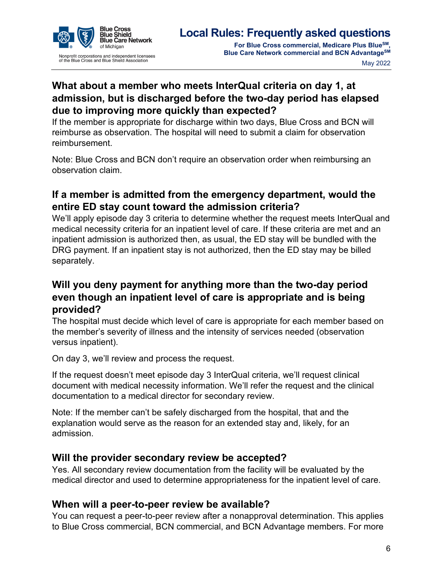

# <span id="page-5-0"></span>**What about a member who meets InterQual criteria on day 1, at admission, but is discharged before the two-day period has elapsed due to improving more quickly than expected?**

If the member is appropriate for discharge within two days, Blue Cross and BCN will reimburse as observation. The hospital will need to submit a claim for observation reimbursement.

Note: Blue Cross and BCN don't require an observation order when reimbursing an observation claim.

# <span id="page-5-1"></span>**If a member is admitted from the emergency department, would the entire ED stay count toward the admission criteria?**

We'll apply episode day 3 criteria to determine whether the request meets InterQual and medical necessity criteria for an inpatient level of care. If these criteria are met and an inpatient admission is authorized then, as usual, the ED stay will be bundled with the DRG payment. If an inpatient stay is not authorized, then the ED stay may be billed separately.

### <span id="page-5-2"></span>**Will you deny payment for anything more than the two-day period even though an inpatient level of care is appropriate and is being provided?**

The hospital must decide which level of care is appropriate for each member based on the member's severity of illness and the intensity of services needed (observation versus inpatient).

On day 3, we'll review and process the request.

If the request doesn't meet episode day 3 InterQual criteria, we'll request clinical document with medical necessity information. We'll refer the request and the clinical documentation to a medical director for secondary review.

Note: If the member can't be safely discharged from the hospital, that and the explanation would serve as the reason for an extended stay and, likely, for an admission.

#### <span id="page-5-3"></span>**Will the provider secondary review be accepted?**

Yes. All secondary review documentation from the facility will be evaluated by the medical director and used to determine appropriateness for the inpatient level of care.

#### <span id="page-5-4"></span>**When will a peer-to-peer review be available?**

You can request a peer-to-peer review after a nonapproval determination. This applies to Blue Cross commercial, BCN commercial, and BCN Advantage members. For more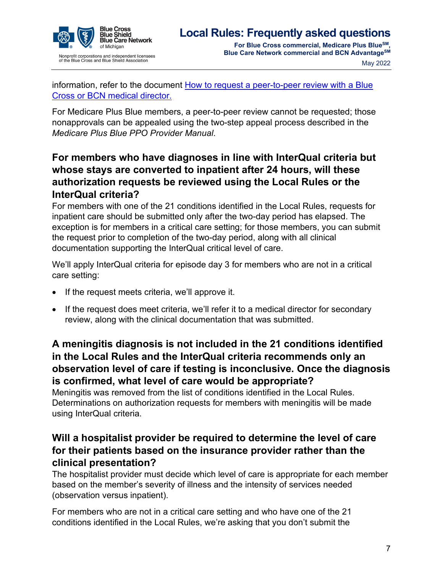

**For Blue Cross commercial, Medicare Plus BlueSM, Blue Care Network commercial and BCN AdvantageSM** May 2022

information, refer to the document [How to request a peer-to-peer review with a Blue](https://ereferrals.bcbsm.com/docs/common/common-p2p-request-process.pdf)  [Cross or BCN medical director.](https://ereferrals.bcbsm.com/docs/common/common-p2p-request-process.pdf)

For Medicare Plus Blue members, a peer-to-peer review cannot be requested; those nonapprovals can be appealed using the two-step appeal process described in the *Medicare Plus Blue PPO Provider Manual*.

# <span id="page-6-0"></span>**For members who have diagnoses in line with InterQual criteria but whose stays are converted to inpatient after 24 hours, will these authorization requests be reviewed using the Local Rules or the InterQual criteria?**

For members with one of the 21 conditions identified in the Local Rules, requests for inpatient care should be submitted only after the two-day period has elapsed. The exception is for members in a critical care setting; for those members, you can submit the request prior to completion of the two-day period, along with all clinical documentation supporting the InterQual critical level of care.

We'll apply InterQual criteria for episode day 3 for members who are not in a critical care setting:

- If the request meets criteria, we'll approve it.
- If the request does meet criteria, we'll refer it to a medical director for secondary review, along with the clinical documentation that was submitted.

# <span id="page-6-1"></span>**A meningitis diagnosis is not included in the 21 conditions identified in the Local Rules and the InterQual criteria recommends only an observation level of care if testing is inconclusive. Once the diagnosis is confirmed, what level of care would be appropriate?**

Meningitis was removed from the list of conditions identified in the Local Rules. Determinations on authorization requests for members with meningitis will be made using InterQual criteria.

# <span id="page-6-2"></span>**Will a hospitalist provider be required to determine the level of care for their patients based on the insurance provider rather than the clinical presentation?**

The hospitalist provider must decide which level of care is appropriate for each member based on the member's severity of illness and the intensity of services needed (observation versus inpatient).

For members who are not in a critical care setting and who have one of the 21 conditions identified in the Local Rules, we're asking that you don't submit the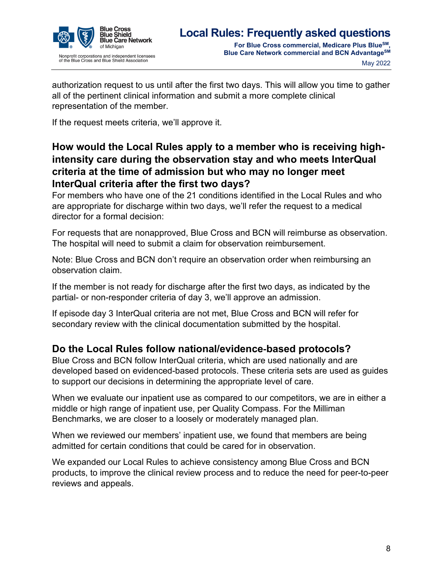

authorization request to us until after the first two days. This will allow you time to gather all of the pertinent clinical information and submit a more complete clinical representation of the member.

If the request meets criteria, we'll approve it.

# <span id="page-7-0"></span>**How would the Local Rules apply to a member who is receiving highintensity care during the observation stay and who meets InterQual criteria at the time of admission but who may no longer meet InterQual criteria after the first two days?**

For members who have one of the 21 conditions identified in the Local Rules and who are appropriate for discharge within two days, we'll refer the request to a medical director for a formal decision:

For requests that are nonapproved, Blue Cross and BCN will reimburse as observation. The hospital will need to submit a claim for observation reimbursement.

Note: Blue Cross and BCN don't require an observation order when reimbursing an observation claim.

If the member is not ready for discharge after the first two days, as indicated by the partial- or non-responder criteria of day 3, we'll approve an admission.

If episode day 3 InterQual criteria are not met, Blue Cross and BCN will refer for secondary review with the clinical documentation submitted by the hospital.

# <span id="page-7-1"></span>**Do the Local Rules follow national/evidence**‐**based protocols?**

Blue Cross and BCN follow InterQual criteria, which are used nationally and are developed based on evidenced-based protocols. These criteria sets are used as guides to support our decisions in determining the appropriate level of care.

When we evaluate our inpatient use as compared to our competitors, we are in either a middle or high range of inpatient use, per Quality Compass. For the Milliman Benchmarks, we are closer to a loosely or moderately managed plan.

When we reviewed our members' inpatient use, we found that members are being admitted for certain conditions that could be cared for in observation.

We expanded our Local Rules to achieve consistency among Blue Cross and BCN products, to improve the clinical review process and to reduce the need for peer-to-peer reviews and appeals.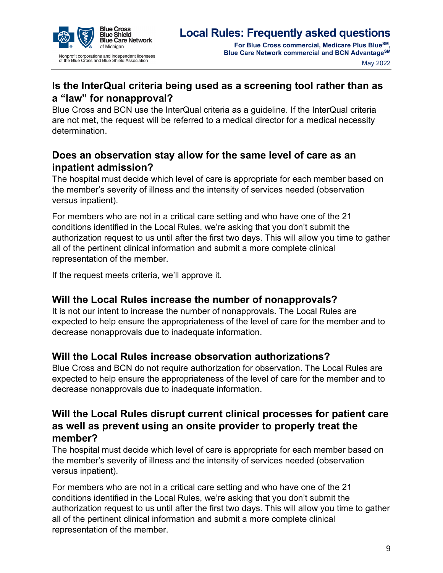

# <span id="page-8-0"></span>**Is the InterQual criteria being used as a screening tool rather than as a "law" for nonapproval?**

Blue Cross and BCN use the InterQual criteria as a guideline. If the InterQual criteria are not met, the request will be referred to a medical director for a medical necessity determination.

# <span id="page-8-1"></span>**Does an observation stay allow for the same level of care as an inpatient admission?**

The hospital must decide which level of care is appropriate for each member based on the member's severity of illness and the intensity of services needed (observation versus inpatient).

For members who are not in a critical care setting and who have one of the 21 conditions identified in the Local Rules, we're asking that you don't submit the authorization request to us until after the first two days. This will allow you time to gather all of the pertinent clinical information and submit a more complete clinical representation of the member.

If the request meets criteria, we'll approve it.

# <span id="page-8-2"></span>**Will the Local Rules increase the number of nonapprovals?**

It is not our intent to increase the number of nonapprovals. The Local Rules are expected to help ensure the appropriateness of the level of care for the member and to decrease nonapprovals due to inadequate information.

#### <span id="page-8-3"></span>**Will the Local Rules increase observation authorizations?**

Blue Cross and BCN do not require authorization for observation. The Local Rules are expected to help ensure the appropriateness of the level of care for the member and to decrease nonapprovals due to inadequate information.

#### <span id="page-8-4"></span>**Will the Local Rules disrupt current clinical processes for patient care as well as prevent using an onsite provider to properly treat the member?**

The hospital must decide which level of care is appropriate for each member based on the member's severity of illness and the intensity of services needed (observation versus inpatient).

For members who are not in a critical care setting and who have one of the 21 conditions identified in the Local Rules, we're asking that you don't submit the authorization request to us until after the first two days. This will allow you time to gather all of the pertinent clinical information and submit a more complete clinical representation of the member.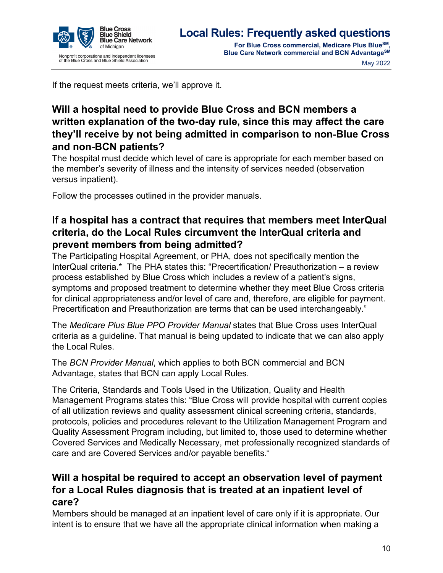

**Blue Care Network commercial and BCN AdvantageSM**

May 2022

If the request meets criteria, we'll approve it.

# <span id="page-9-0"></span>**Will a hospital need to provide Blue Cross and BCN members a written explanation of the two-day rule, since this may affect the care they'll receive by not being admitted in comparison to non**‐**Blue Cross and non-BCN patients?**

The hospital must decide which level of care is appropriate for each member based on the member's severity of illness and the intensity of services needed (observation versus inpatient).

Follow the processes outlined in the provider manuals.

# <span id="page-9-1"></span>**If a hospital has a contract that requires that members meet InterQual criteria, do the Local Rules circumvent the InterQual criteria and prevent members from being admitted?**

The Participating Hospital Agreement, or PHA, does not specifically mention the InterQual criteria.\* The PHA states this: "Precertification/ Preauthorization – a review process established by Blue Cross which includes a review of a patient's signs, symptoms and proposed treatment to determine whether they meet Blue Cross criteria for clinical appropriateness and/or level of care and, therefore, are eligible for payment. Precertification and Preauthorization are terms that can be used interchangeably."

The *Medicare Plus Blue PPO Provider Manual* states that Blue Cross uses InterQual criteria as a guideline. That manual is being updated to indicate that we can also apply the Local Rules.

The *BCN Provider Manual*, which applies to both BCN commercial and BCN Advantage, states that BCN can apply Local Rules.

The Criteria, Standards and Tools Used in the Utilization, Quality and Health Management Programs states this: "Blue Cross will provide hospital with current copies of all utilization reviews and quality assessment clinical screening criteria, standards, protocols, policies and procedures relevant to the Utilization Management Program and Quality Assessment Program including, but limited to, those used to determine whether Covered Services and Medically Necessary, met professionally recognized standards of care and are Covered Services and/or payable benefits."

# <span id="page-9-2"></span>**Will a hospital be required to accept an observation level of payment for a Local Rules diagnosis that is treated at an inpatient level of care?**

Members should be managed at an inpatient level of care only if it is appropriate. Our intent is to ensure that we have all the appropriate clinical information when making a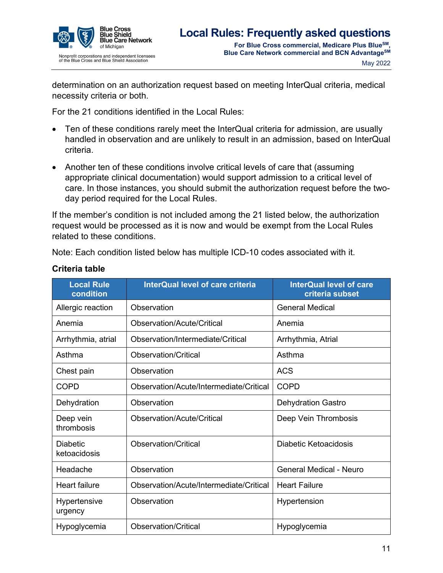

determination on an authorization request based on meeting InterQual criteria, medical necessity criteria or both.

For the 21 conditions identified in the Local Rules:

- Ten of these conditions rarely meet the InterQual criteria for admission, are usually handled in observation and are unlikely to result in an admission, based on InterQual criteria.
- Another ten of these conditions involve critical levels of care that (assuming appropriate clinical documentation) would support admission to a critical level of care. In those instances, you should submit the authorization request before the twoday period required for the Local Rules.

If the member's condition is not included among the 21 listed below, the authorization request would be processed as it is now and would be exempt from the Local Rules related to these conditions.

Note: Each condition listed below has multiple ICD-10 codes associated with it.

| <b>Local Rule</b><br>condition  | <b>InterQual level of care criteria</b> | <b>InterQual level of care</b><br>criteria subset |
|---------------------------------|-----------------------------------------|---------------------------------------------------|
| Allergic reaction               | Observation                             | <b>General Medical</b>                            |
| Anemia                          | Observation/Acute/Critical              | Anemia                                            |
| Arrhythmia, atrial              | Observation/Intermediate/Critical       | Arrhythmia, Atrial                                |
| Asthma                          | <b>Observation/Critical</b>             | Asthma                                            |
| Chest pain                      | Observation                             | <b>ACS</b>                                        |
| <b>COPD</b>                     | Observation/Acute/Intermediate/Critical | <b>COPD</b>                                       |
| Dehydration                     | Observation                             | <b>Dehydration Gastro</b>                         |
| Deep vein<br>thrombosis         | Observation/Acute/Critical              | Deep Vein Thrombosis                              |
| <b>Diabetic</b><br>ketoacidosis | <b>Observation/Critical</b>             | <b>Diabetic Ketoacidosis</b>                      |
| Headache                        | Observation                             | <b>General Medical - Neuro</b>                    |
| <b>Heart failure</b>            | Observation/Acute/Intermediate/Critical | <b>Heart Failure</b>                              |
| Hypertensive<br>urgency         | Observation                             | Hypertension                                      |
| Hypoglycemia                    | <b>Observation/Critical</b>             | Hypoglycemia                                      |

#### <span id="page-10-0"></span>**Criteria table**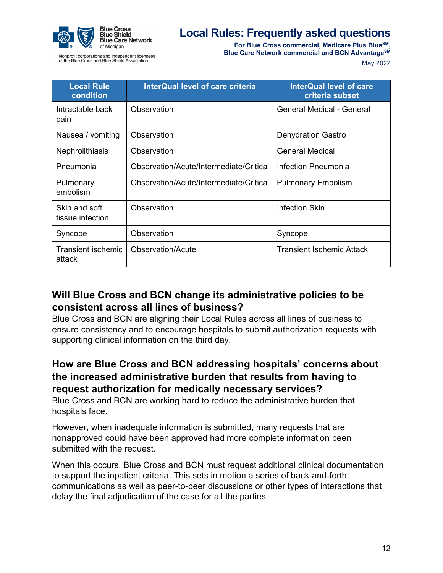

**For Blue Cross commercial, Medicare Plus BlueSM, Blue Care Network commercial and BCN AdvantageSM** 

lonprofit corporations and independent licensees<br>f the Blue Cross and Blue Shield Association

|  | May 2022 |
|--|----------|
|--|----------|

| <b>Local Rule</b><br>condition    | <b>InterQual level of care criteria</b> | <b>InterQual level of care</b><br>criteria subset |
|-----------------------------------|-----------------------------------------|---------------------------------------------------|
| Intractable back<br>pain          | Observation                             | General Medical - General                         |
| Nausea / vomiting                 | Observation                             | <b>Dehydration Gastro</b>                         |
| Nephrolithiasis                   | Observation                             | <b>General Medical</b>                            |
| Pneumonia                         | Observation/Acute/Intermediate/Critical | Infection Pneumonia                               |
| Pulmonary<br>embolism             | Observation/Acute/Intermediate/Critical | <b>Pulmonary Embolism</b>                         |
| Skin and soft<br>tissue infection | Observation                             | Infection Skin                                    |
| Syncope                           | Observation                             | Syncope                                           |
| Transient ischemic<br>attack      | Observation/Acute                       | <b>Transient Ischemic Attack</b>                  |

### <span id="page-11-0"></span>**Will Blue Cross and BCN change its administrative policies to be consistent across all lines of business?**

Blue Cross and BCN are aligning their Local Rules across all lines of business to ensure consistency and to encourage hospitals to submit authorization requests with supporting clinical information on the third day.

### <span id="page-11-1"></span>**How are Blue Cross and BCN addressing hospitals' concerns about the increased administrative burden that results from having to request authorization for medically necessary services?**

Blue Cross and BCN are working hard to reduce the administrative burden that hospitals face.

However, when inadequate information is submitted, many requests that are nonapproved could have been approved had more complete information been submitted with the request.

When this occurs, Blue Cross and BCN must request additional clinical documentation to support the inpatient criteria. This sets in motion a series of back-and-forth communications as well as peer-to-peer discussions or other types of interactions that delay the final adjudication of the case for all the parties.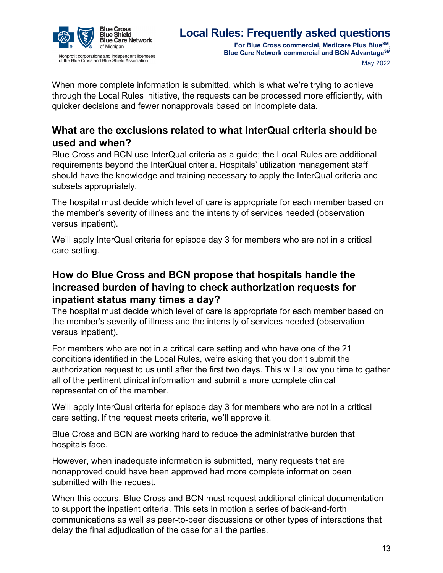

When more complete information is submitted, which is what we're trying to achieve through the Local Rules initiative, the requests can be processed more efficiently, with quicker decisions and fewer nonapprovals based on incomplete data.

# <span id="page-12-0"></span>**What are the exclusions related to what InterQual criteria should be used and when?**

Blue Cross and BCN use InterQual criteria as a guide; the Local Rules are additional requirements beyond the InterQual criteria. Hospitals' utilization management staff should have the knowledge and training necessary to apply the InterQual criteria and subsets appropriately.

The hospital must decide which level of care is appropriate for each member based on the member's severity of illness and the intensity of services needed (observation versus inpatient).

We'll apply InterQual criteria for episode day 3 for members who are not in a critical care setting.

### <span id="page-12-1"></span>**How do Blue Cross and BCN propose that hospitals handle the increased burden of having to check authorization requests for inpatient status many times a day?**

The hospital must decide which level of care is appropriate for each member based on the member's severity of illness and the intensity of services needed (observation versus inpatient).

For members who are not in a critical care setting and who have one of the 21 conditions identified in the Local Rules, we're asking that you don't submit the authorization request to us until after the first two days. This will allow you time to gather all of the pertinent clinical information and submit a more complete clinical representation of the member.

We'll apply InterQual criteria for episode day 3 for members who are not in a critical care setting. If the request meets criteria, we'll approve it.

Blue Cross and BCN are working hard to reduce the administrative burden that hospitals face.

However, when inadequate information is submitted, many requests that are nonapproved could have been approved had more complete information been submitted with the request.

When this occurs, Blue Cross and BCN must request additional clinical documentation to support the inpatient criteria. This sets in motion a series of back-and-forth communications as well as peer-to-peer discussions or other types of interactions that delay the final adjudication of the case for all the parties.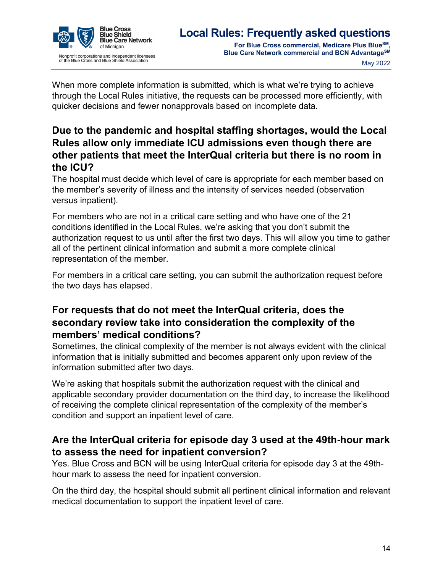

When more complete information is submitted, which is what we're trying to achieve through the Local Rules initiative, the requests can be processed more efficiently, with quicker decisions and fewer nonapprovals based on incomplete data.

# <span id="page-13-0"></span>**Due to the pandemic and hospital staffing shortages, would the Local Rules allow only immediate ICU admissions even though there are other patients that meet the InterQual criteria but there is no room in the ICU?**

The hospital must decide which level of care is appropriate for each member based on the member's severity of illness and the intensity of services needed (observation versus inpatient).

For members who are not in a critical care setting and who have one of the 21 conditions identified in the Local Rules, we're asking that you don't submit the authorization request to us until after the first two days. This will allow you time to gather all of the pertinent clinical information and submit a more complete clinical representation of the member.

For members in a critical care setting, you can submit the authorization request before the two days has elapsed.

# <span id="page-13-1"></span>**For requests that do not meet the InterQual criteria, does the secondary review take into consideration the complexity of the members' medical conditions?**

Sometimes, the clinical complexity of the member is not always evident with the clinical information that is initially submitted and becomes apparent only upon review of the information submitted after two days.

We're asking that hospitals submit the authorization request with the clinical and applicable secondary provider documentation on the third day, to increase the likelihood of receiving the complete clinical representation of the complexity of the member's condition and support an inpatient level of care.

### <span id="page-13-2"></span>**Are the InterQual criteria for episode day 3 used at the 49th-hour mark to assess the need for inpatient conversion?**

Yes. Blue Cross and BCN will be using InterQual criteria for episode day 3 at the 49thhour mark to assess the need for inpatient conversion.

On the third day, the hospital should submit all pertinent clinical information and relevant medical documentation to support the inpatient level of care.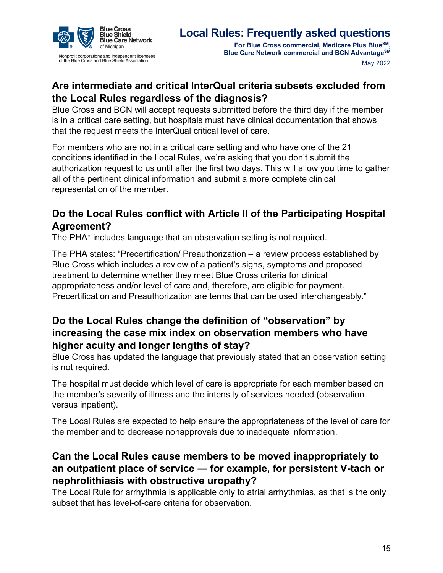

# <span id="page-14-0"></span>**Are intermediate and critical InterQual criteria subsets excluded from the Local Rules regardless of the diagnosis?**

Blue Cross and BCN will accept requests submitted before the third day if the member is in a critical care setting, but hospitals must have clinical documentation that shows that the request meets the InterQual critical level of care.

For members who are not in a critical care setting and who have one of the 21 conditions identified in the Local Rules, we're asking that you don't submit the authorization request to us until after the first two days. This will allow you time to gather all of the pertinent clinical information and submit a more complete clinical representation of the member.

# <span id="page-14-1"></span>**Do the Local Rules conflict with Article II of the Participating Hospital Agreement?**

The PHA\* includes language that an observation setting is not required.

The PHA states: "Precertification/ Preauthorization – a review process established by Blue Cross which includes a review of a patient's signs, symptoms and proposed treatment to determine whether they meet Blue Cross criteria for clinical appropriateness and/or level of care and, therefore, are eligible for payment. Precertification and Preauthorization are terms that can be used interchangeably."

# <span id="page-14-2"></span>**Do the Local Rules change the definition of "observation" by increasing the case mix index on observation members who have higher acuity and longer lengths of stay?**

Blue Cross has updated the language that previously stated that an observation setting is not required.

The hospital must decide which level of care is appropriate for each member based on the member's severity of illness and the intensity of services needed (observation versus inpatient).

The Local Rules are expected to help ensure the appropriateness of the level of care for the member and to decrease nonapprovals due to inadequate information.

# <span id="page-14-3"></span>**Can the Local Rules cause members to be moved inappropriately to an outpatient place of service ― for example, for persistent V-tach or nephrolithiasis with obstructive uropathy?**

The Local Rule for arrhythmia is applicable only to atrial arrhythmias, as that is the only subset that has level-of-care criteria for observation.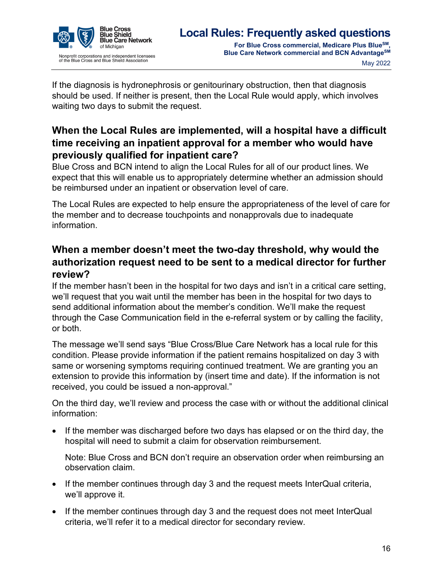

If the diagnosis is hydronephrosis or genitourinary obstruction, then that diagnosis should be used. If neither is present, then the Local Rule would apply, which involves waiting two days to submit the request.

# <span id="page-15-0"></span>**When the Local Rules are implemented, will a hospital have a difficult time receiving an inpatient approval for a member who would have previously qualified for inpatient care?**

Blue Cross and BCN intend to align the Local Rules for all of our product lines. We expect that this will enable us to appropriately determine whether an admission should be reimbursed under an inpatient or observation level of care.

The Local Rules are expected to help ensure the appropriateness of the level of care for the member and to decrease touchpoints and nonapprovals due to inadequate information.

# <span id="page-15-1"></span>**When a member doesn't meet the two-day threshold, why would the authorization request need to be sent to a medical director for further review?**

If the member hasn't been in the hospital for two days and isn't in a critical care setting, we'll request that you wait until the member has been in the hospital for two days to send additional information about the member's condition. We'll make the request through the Case Communication field in the e-referral system or by calling the facility, or both.

The message we'll send says "Blue Cross/Blue Care Network has a local rule for this condition. Please provide information if the patient remains hospitalized on day 3 with same or worsening symptoms requiring continued treatment. We are granting you an extension to provide this information by (insert time and date). If the information is not received, you could be issued a non-approval."

On the third day, we'll review and process the case with or without the additional clinical information:

• If the member was discharged before two days has elapsed or on the third day, the hospital will need to submit a claim for observation reimbursement.

Note: Blue Cross and BCN don't require an observation order when reimbursing an observation claim.

- If the member continues through day 3 and the request meets InterQual criteria, we'll approve it.
- If the member continues through day 3 and the request does not meet InterQual criteria, we'll refer it to a medical director for secondary review.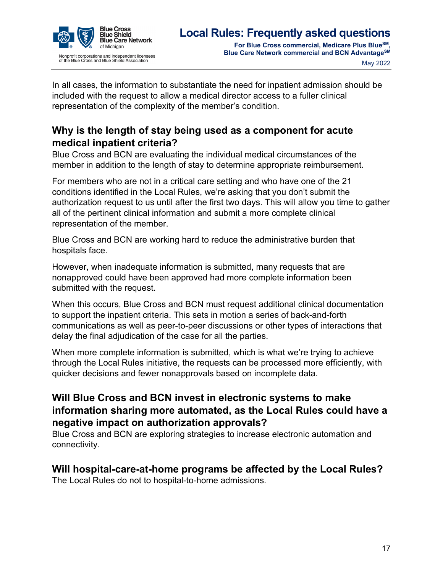

In all cases, the information to substantiate the need for inpatient admission should be included with the request to allow a medical director access to a fuller clinical representation of the complexity of the member's condition.

# <span id="page-16-0"></span>**Why is the length of stay being used as a component for acute medical inpatient criteria?**

Blue Cross and BCN are evaluating the individual medical circumstances of the member in addition to the length of stay to determine appropriate reimbursement.

For members who are not in a critical care setting and who have one of the 21 conditions identified in the Local Rules, we're asking that you don't submit the authorization request to us until after the first two days. This will allow you time to gather all of the pertinent clinical information and submit a more complete clinical representation of the member.

Blue Cross and BCN are working hard to reduce the administrative burden that hospitals face.

However, when inadequate information is submitted, many requests that are nonapproved could have been approved had more complete information been submitted with the request.

When this occurs, Blue Cross and BCN must request additional clinical documentation to support the inpatient criteria. This sets in motion a series of back-and-forth communications as well as peer-to-peer discussions or other types of interactions that delay the final adjudication of the case for all the parties.

When more complete information is submitted, which is what we're trying to achieve through the Local Rules initiative, the requests can be processed more efficiently, with quicker decisions and fewer nonapprovals based on incomplete data.

# <span id="page-16-1"></span>**Will Blue Cross and BCN invest in electronic systems to make information sharing more automated, as the Local Rules could have a negative impact on authorization approvals?**

Blue Cross and BCN are exploring strategies to increase electronic automation and connectivity.

#### <span id="page-16-2"></span>**Will hospital-care-at-home programs be affected by the Local Rules?**

The Local Rules do not to hospital-to-home admissions.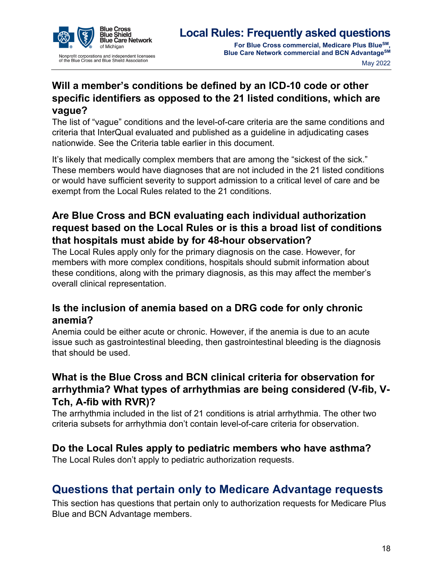

# <span id="page-17-0"></span>**Will a member's conditions be defined by an ICD-10 code or other specific identifiers as opposed to the 21 listed conditions, which are vague?**

The list of "vague" conditions and the level-of-care criteria are the same conditions and criteria that InterQual evaluated and published as a guideline in adjudicating cases nationwide. See the [Criteria table](#page-10-0) earlier in this document.

It's likely that medically complex members that are among the "sickest of the sick." These members would have diagnoses that are not included in the 21 listed conditions or would have sufficient severity to support admission to a critical level of care and be exempt from the Local Rules related to the 21 conditions.

# <span id="page-17-1"></span>**Are Blue Cross and BCN evaluating each individual authorization request based on the Local Rules or is this a broad list of conditions that hospitals must abide by for 48-hour observation?**

The Local Rules apply only for the primary diagnosis on the case. However, for members with more complex conditions, hospitals should submit information about these conditions, along with the primary diagnosis, as this may affect the member's overall clinical representation.

### <span id="page-17-2"></span>**Is the inclusion of anemia based on a DRG code for only chronic anemia?**

Anemia could be either acute or chronic. However, if the anemia is due to an acute issue such as gastrointestinal bleeding, then gastrointestinal bleeding is the diagnosis that should be used.

# <span id="page-17-3"></span>**What is the Blue Cross and BCN clinical criteria for observation for arrhythmia? What types of arrhythmias are being considered (V-fib, V-Tch, A-fib with RVR)?**

The arrhythmia included in the list of 21 conditions is atrial arrhythmia. The other two criteria subsets for arrhythmia don't contain level-of-care criteria for observation.

#### <span id="page-17-4"></span>**Do the Local Rules apply to pediatric members who have asthma?**

The Local Rules don't apply to pediatric authorization requests.

# <span id="page-17-5"></span>**Questions that pertain only to Medicare Advantage requests**

This section has questions that pertain only to authorization requests for Medicare Plus Blue and BCN Advantage members.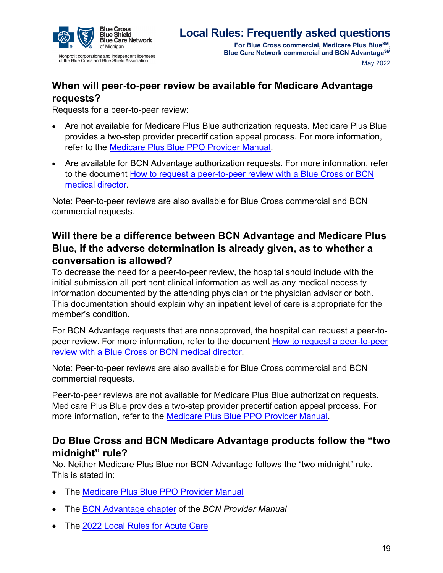

**Blue Care Network commercial and BCN AdvantageSM** May 2022

# <span id="page-18-0"></span>**When will peer-to-peer review be available for Medicare Advantage requests?**

Requests for a peer-to-peer review:

- Are not available for Medicare Plus Blue authorization requests. Medicare Plus Blue provides a two-step provider precertification appeal process. For more information, refer to the [Medicare Plus Blue PPO Provider Manual.](https://www.bcbsm.com/amslibs/content/dam/public/providers/documents/medicare-plus-blue-ppo-manual.pdf)
- Are available for BCN Advantage authorization requests. For more information, refer to the document [How to request a peer-to-peer review with a Blue Cross or BCN](https://ereferrals.bcbsm.com/docs/common/common-p2p-request-process.pdf)  [medical director.](https://ereferrals.bcbsm.com/docs/common/common-p2p-request-process.pdf)

Note: Peer-to-peer reviews are also available for Blue Cross commercial and BCN commercial requests.

# <span id="page-18-1"></span>**Will there be a difference between BCN Advantage and Medicare Plus Blue, if the adverse determination is already given, as to whether a conversation is allowed?**

To decrease the need for a peer-to-peer review, the hospital should include with the initial submission all pertinent clinical information as well as any medical necessity information documented by the attending physician or the physician advisor or both. This documentation should explain why an inpatient level of care is appropriate for the member's condition.

For BCN Advantage requests that are nonapproved, the hospital can request a peer-topeer review. For more information, refer to the document [How to request a peer-to-peer](https://ereferrals.bcbsm.com/docs/common/common-p2p-request-process.pdf)  [review with a Blue Cross or BCN medical director.](https://ereferrals.bcbsm.com/docs/common/common-p2p-request-process.pdf)

Note: Peer-to-peer reviews are also available for Blue Cross commercial and BCN commercial requests.

Peer-to-peer reviews are not available for Medicare Plus Blue authorization requests. Medicare Plus Blue provides a two-step provider precertification appeal process. For more information, refer to the [Medicare Plus Blue PPO Provider Manual.](https://www.bcbsm.com/amslibs/content/dam/public/providers/documents/medicare-plus-blue-ppo-manual.pdf)

#### <span id="page-18-2"></span>**Do Blue Cross and BCN Medicare Advantage products follow the "two midnight" rule?**

No. Neither Medicare Plus Blue nor BCN Advantage follows the "two midnight" rule. This is stated in:

- The [Medicare Plus Blue PPO Provider Manual](https://www.bcbsm.com/amslibs/content/dam/public/providers/documents/medicare-plus-blue-ppo-manual.pdf)
- The [BCN Advantage chapter](https://ereferrals.bcbsm.com/docs/bcn/bcn-15bcnadvantage.pdf) of the *BCN Provider Manual*
- The [2022 Local Rules for Acute Care](https://ereferrals.bcbsm.com/docs/common/common-2022-interqual-mod.pdf)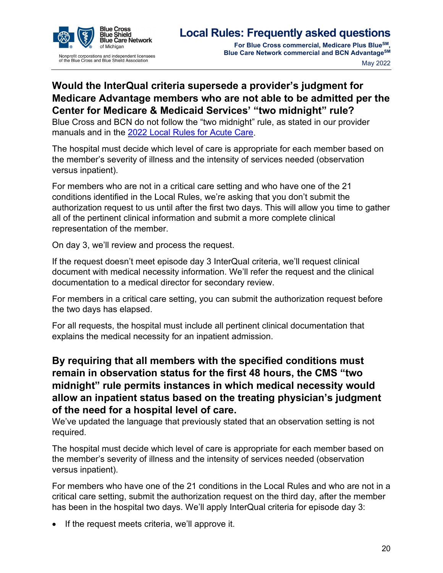

# <span id="page-19-0"></span>**Would the InterQual criteria supersede a provider's judgment for Medicare Advantage members who are not able to be admitted per the Center for Medicare & Medicaid Services' "two midnight" rule?**

Blue Cross and BCN do not follow the "two midnight" rule, as stated in our provider manuals and in the [2022 Local Rules for Acute Care.](https://ereferrals.bcbsm.com/docs/common/common-2022-interqual-mod.pdf)

The hospital must decide which level of care is appropriate for each member based on the member's severity of illness and the intensity of services needed (observation versus inpatient).

For members who are not in a critical care setting and who have one of the 21 conditions identified in the Local Rules, we're asking that you don't submit the authorization request to us until after the first two days. This will allow you time to gather all of the pertinent clinical information and submit a more complete clinical representation of the member.

On day 3, we'll review and process the request.

If the request doesn't meet episode day 3 InterQual criteria, we'll request clinical document with medical necessity information. We'll refer the request and the clinical documentation to a medical director for secondary review.

For members in a critical care setting, you can submit the authorization request before the two days has elapsed.

For all requests, the hospital must include all pertinent clinical documentation that explains the medical necessity for an inpatient admission.

# <span id="page-19-1"></span>**By requiring that all members with the specified conditions must remain in observation status for the first 48 hours, the CMS "two midnight" rule permits instances in which medical necessity would allow an inpatient status based on the treating physician's judgment of the need for a hospital level of care.**

We've updated the language that previously stated that an observation setting is not required.

The hospital must decide which level of care is appropriate for each member based on the member's severity of illness and the intensity of services needed (observation versus inpatient).

For members who have one of the 21 conditions in the Local Rules and who are not in a critical care setting, submit the authorization request on the third day, after the member has been in the hospital two days. We'll apply InterQual criteria for episode day 3:

• If the request meets criteria, we'll approve it.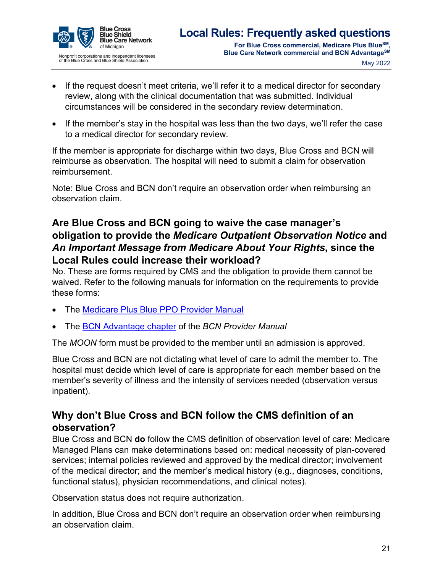

- If the request doesn't meet criteria, we'll refer it to a medical director for secondary review, along with the clinical documentation that was submitted. Individual circumstances will be considered in the secondary review determination.
- If the member's stay in the hospital was less than the two days, we'll refer the case to a medical director for secondary review.

If the member is appropriate for discharge within two days, Blue Cross and BCN will reimburse as observation. The hospital will need to submit a claim for observation reimbursement.

Note: Blue Cross and BCN don't require an observation order when reimbursing an observation claim.

# <span id="page-20-0"></span>**Are Blue Cross and BCN going to waive the case manager's obligation to provide the** *Medicare Outpatient Observation Notice* **and**  *An Important Message from Medicare About Your Rights***, since the Local Rules could increase their workload?**

No. These are forms required by CMS and the obligation to provide them cannot be waived. Refer to the following manuals for information on the requirements to provide these forms:

- The **Medicare Plus Blue PPO Provider Manual**
- The [BCN Advantage chapter](https://ereferrals.bcbsm.com/docs/bcn/bcn-15bcnadvantage.pdf) of the *BCN Provider Manual*

The *MOON* form must be provided to the member until an admission is approved.

Blue Cross and BCN are not dictating what level of care to admit the member to. The hospital must decide which level of care is appropriate for each member based on the member's severity of illness and the intensity of services needed (observation versus inpatient).

#### <span id="page-20-1"></span>**Why don't Blue Cross and BCN follow the CMS definition of an observation?**

Blue Cross and BCN **do** follow the CMS definition of observation level of care: Medicare Managed Plans can make determinations based on: medical necessity of plan-covered services; internal policies reviewed and approved by the medical director; involvement of the medical director; and the member's medical history (e.g., diagnoses, conditions, functional status), physician recommendations, and clinical notes).

Observation status does not require authorization.

In addition, Blue Cross and BCN don't require an observation order when reimbursing an observation claim.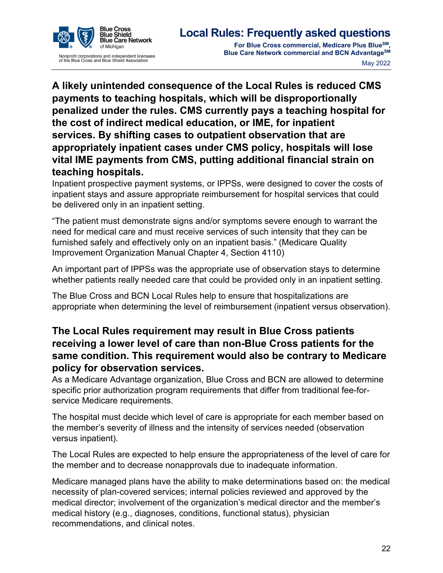



<span id="page-21-0"></span>**A likely unintended consequence of the Local Rules is reduced CMS payments to teaching hospitals, which will be disproportionally penalized under the rules. CMS currently pays a teaching hospital for the cost of indirect medical education, or IME, for inpatient services. By shifting cases to outpatient observation that are appropriately inpatient cases under CMS policy, hospitals will lose vital IME payments from CMS, putting additional financial strain on teaching hospitals.** 

Inpatient prospective payment systems, or IPPSs, were designed to cover the costs of inpatient stays and assure appropriate reimbursement for hospital services that could be delivered only in an inpatient setting.

"The patient must demonstrate signs and/or symptoms severe enough to warrant the need for medical care and must receive services of such intensity that they can be furnished safely and effectively only on an inpatient basis." (Medicare Quality Improvement Organization Manual Chapter 4, Section 4110)

An important part of IPPSs was the appropriate use of observation stays to determine whether patients really needed care that could be provided only in an inpatient setting.

The Blue Cross and BCN Local Rules help to ensure that hospitalizations are appropriate when determining the level of reimbursement (inpatient versus observation).

# <span id="page-21-1"></span>**The Local Rules requirement may result in Blue Cross patients receiving a lower level of care than non-Blue Cross patients for the same condition. This requirement would also be contrary to Medicare policy for observation services.**

As a Medicare Advantage organization, Blue Cross and BCN are allowed to determine specific prior authorization program requirements that differ from traditional fee-forservice Medicare requirements.

The hospital must decide which level of care is appropriate for each member based on the member's severity of illness and the intensity of services needed (observation versus inpatient).

The Local Rules are expected to help ensure the appropriateness of the level of care for the member and to decrease nonapprovals due to inadequate information.

Medicare managed plans have the ability to make determinations based on: the medical necessity of plan-covered services; internal policies reviewed and approved by the medical director; involvement of the organization's medical director and the member's medical history (e.g., diagnoses, conditions, functional status), physician recommendations, and clinical notes.